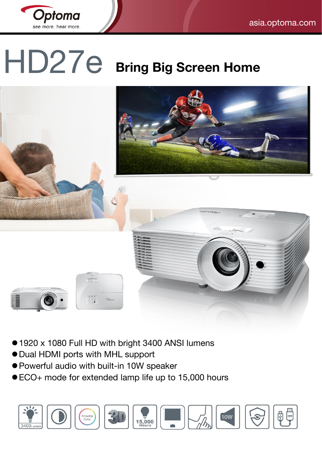

# HD27e **Bring Big Screen Home**



- 1920 x 1080 Full HD with bright 3400 ANSI lumens
- Dual HDMI ports with MHL support
- Powerful audio with built-in 10W speaker
- ECO+ mode for extended lamp life up to 15,000 hours

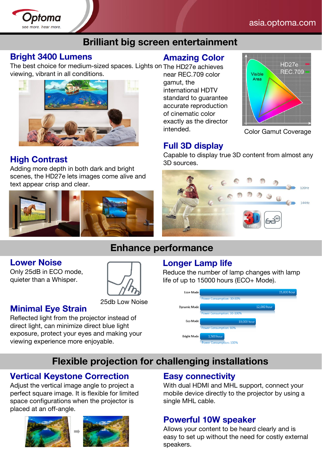

#### asia.optoma.com

## **Brilliant big screen entertainment**

#### **Bright 3400 Lumens**

The best choice for medium-sized spaces. Lights on The HD27e achieves viewing, vibrant in all conditions. near REC.709 color



## **High Contrast**

Adding more depth in both dark and bright scenes, the HD27e lets images come alive and text appear crisp and clear.



#### **Amazing Color**

gamut, the international HDTV standard to guarantee accurate reproduction of cinematic color exactly as the director intended. Color Gamut Coverage



#### **Full 3D display**

Capable to display true 3D content from almost any 3D sources.



# **Enhance performance**

#### **Lower Noise**

Only 25dB in ECO mode, quieter than a Whisper.



#### **Minimal Eye Strain**

Reflected light from the projector instead of direct light, can minimize direct blue light exposure, protect your eyes and making your viewing experience more enjoyable.

#### **Longer Lamp life**

Reduce the number of lamp changes with lamp life of up to 15000 hours (ECO+ Mode).



# **Flexible projection for challenging installations**

#### **Vertical Keystone Correction**

Adjust the vertical image angle to project a perfect square image. It is flexible for limited space configurations when the projector is placed at an off-angle.





#### **Easy connectivity**

With dual HDMI and MHL support, connect your mobile device directly to the projector by using a single MHL cable.

#### **Powerful 10W speaker**

Allows your content to be heard clearly and is easy to set up without the need for costly external speakers.